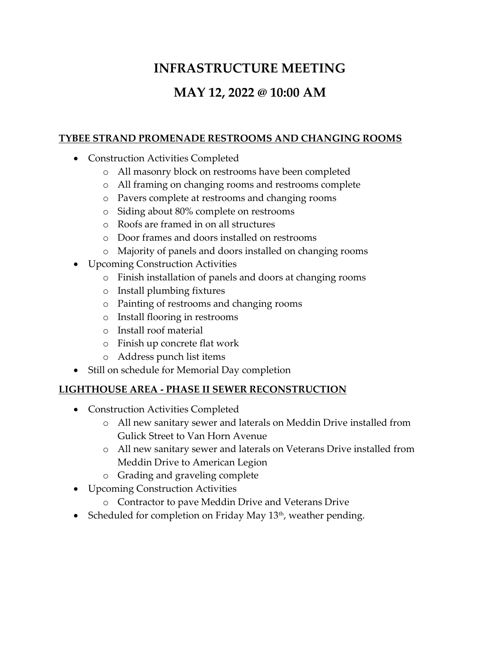# **INFRASTRUCTURE MEETING**

## **MAY 12, 2022 @ 10:00 AM**

#### **TYBEE STRAND PROMENADE RESTROOMS AND CHANGING ROOMS**

- Construction Activities Completed
	- o All masonry block on restrooms have been completed
	- o All framing on changing rooms and restrooms complete
	- o Pavers complete at restrooms and changing rooms
	- o Siding about 80% complete on restrooms
	- o Roofs are framed in on all structures
	- o Door frames and doors installed on restrooms
	- o Majority of panels and doors installed on changing rooms
- Upcoming Construction Activities
	- o Finish installation of panels and doors at changing rooms
	- o Install plumbing fixtures
	- o Painting of restrooms and changing rooms
	- o Install flooring in restrooms
	- o Install roof material
	- o Finish up concrete flat work
	- o Address punch list items
- Still on schedule for Memorial Day completion

#### **LIGHTHOUSE AREA - PHASE II SEWER RECONSTRUCTION**

- Construction Activities Completed
	- o All new sanitary sewer and laterals on Meddin Drive installed from Gulick Street to Van Horn Avenue
	- o All new sanitary sewer and laterals on Veterans Drive installed from Meddin Drive to American Legion
	- o Grading and graveling complete
- Upcoming Construction Activities
	- o Contractor to pave Meddin Drive and Veterans Drive
- Scheduled for completion on Friday May  $13<sup>th</sup>$ , weather pending.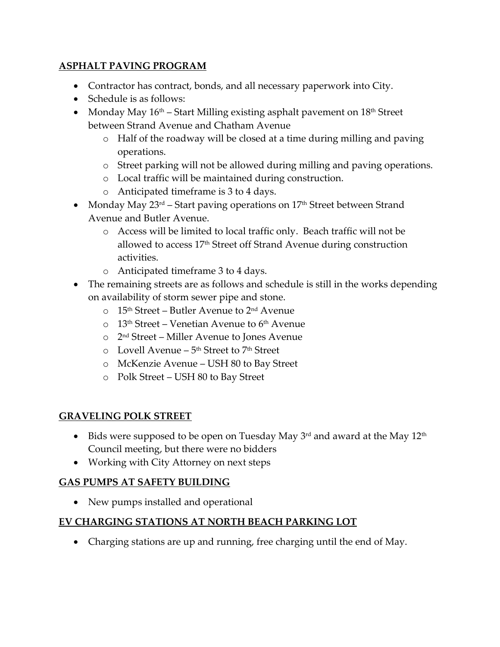## **ASPHALT PAVING PROGRAM**

- Contractor has contract, bonds, and all necessary paperwork into City.
- Schedule is as follows:
- Monday May  $16<sup>th</sup>$  Start Milling existing asphalt pavement on  $18<sup>th</sup>$  Street between Strand Avenue and Chatham Avenue
	- o Half of the roadway will be closed at a time during milling and paving operations.
	- o Street parking will not be allowed during milling and paving operations.
	- o Local traffic will be maintained during construction.
	- o Anticipated timeframe is 3 to 4 days.
- Monday May  $23^{rd}$  Start paving operations on  $17<sup>th</sup>$  Street between Strand Avenue and Butler Avenue.
	- o Access will be limited to local traffic only. Beach traffic will not be allowed to access 17th Street off Strand Avenue during construction activities.
	- o Anticipated timeframe 3 to 4 days.
- The remaining streets are as follows and schedule is still in the works depending on availability of storm sewer pipe and stone.
	- o 15th Street Butler Avenue to 2nd Avenue
	- $\circ$  13<sup>th</sup> Street Venetian Avenue to 6<sup>th</sup> Avenue
	- o 2 nd Street Miller Avenue to Jones Avenue
	- o Lovell Avenue 5<sup>th</sup> Street to 7<sup>th</sup> Street
	- o McKenzie Avenue USH 80 to Bay Street
	- o Polk Street USH 80 to Bay Street

#### **GRAVELING POLK STREET**

- $\bullet$  Bids were supposed to be open on Tuesday May 3<sup>rd</sup> and award at the May 12<sup>th</sup> Council meeting, but there were no bidders
- Working with City Attorney on next steps

#### **GAS PUMPS AT SAFETY BUILDING**

• New pumps installed and operational

#### **EV CHARGING STATIONS AT NORTH BEACH PARKING LOT**

Charging stations are up and running, free charging until the end of May.